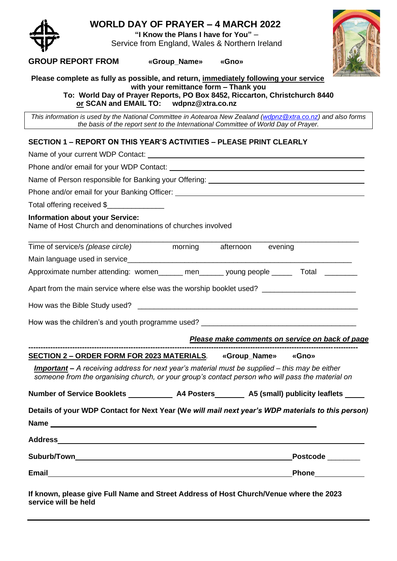

## **WORLD DAY OF PRAYER – 4 MARCH 2022**

**"I Know the Plans I have for You"** – Service from England, Wales & Northern Ireland



## **GROUP REPORT FROM «Group\_Name» «Gno»**

**Please complete as fully as possible, and return, immediately following your service with your remittance form – Thank you**

**To: World Day of Prayer Reports, PO Box 8452, Riccarton, Christchurch 8440 or SCAN and EMAIL TO:** 

*This information is used by the National Committee in Aotearoa New Zealand [\(wdpnz@xtra.co.nz\)](mailto:wdpnz@xtra.co.nz)* and also forms *the basis of the report sent to the International Committee of World Day of Prayer.*

## **SECTION 1 – REPORT ON THIS YEAR'S ACTIVITIES – PLEASE PRINT CLEARLY**

| Total offering received \$                                                                                                                                                                                |
|-----------------------------------------------------------------------------------------------------------------------------------------------------------------------------------------------------------|
| <b>Information about your Service:</b><br>Name of Host Church and denominations of churches involved                                                                                                      |
| Time of service/s (please circle) morning afternoon evening                                                                                                                                               |
|                                                                                                                                                                                                           |
| Approximate number attending: women______ men______ young people _____ Total ________                                                                                                                     |
| Apart from the main service where else was the worship booklet used?                                                                                                                                      |
|                                                                                                                                                                                                           |
| How was the children's and youth programme used? ________________________________                                                                                                                         |
| Please make comments on service on back of page                                                                                                                                                           |
| SECTION 2 - ORDER FORM FOR 2023 MATERIALS. «Group_Name» «Gno»                                                                                                                                             |
| <b>Important</b> – A receiving address for next year's material must be supplied – this may be either<br>someone from the organising church, or your group's contact person who will pass the material on |
| Number of Service Booklets _____________ A4 Posters ________ A5 (small) publicity leaflets _____                                                                                                          |
| Details of your WDP Contact for Next Year (We will mail next year's WDP materials to this person)                                                                                                         |
|                                                                                                                                                                                                           |
| <b>Address</b>                                                                                                                                                                                            |
| <b>Suburb/Town and Suburb</b> and Suburb and Suburb and Suburb and Suburb and Suburb and Suburb and Suburb and Suburb<br>Postcode _______                                                                 |
| Phone____________                                                                                                                                                                                         |
| If known, please give Full Name and Street Address of Host Church/Venue where the 2023<br>service will be held                                                                                            |